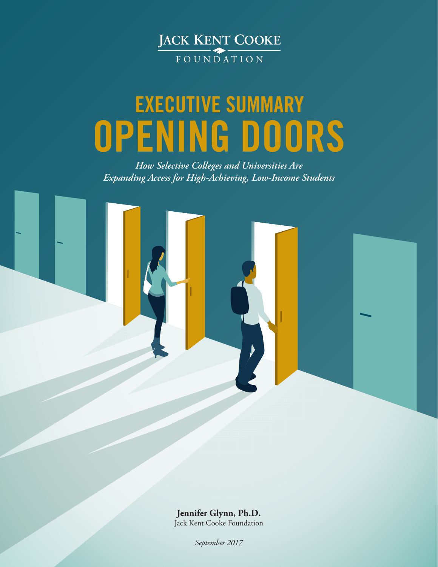

# **OPENING DOORS EXECUTIVE SUMMARY**

*How Selective Colleges and Universities Are Expanding Access for High-Achieving, Low-Income Students*



**Jennifer Glynn, Ph.D.** Jack Kent Cooke Foundation

*September 2017*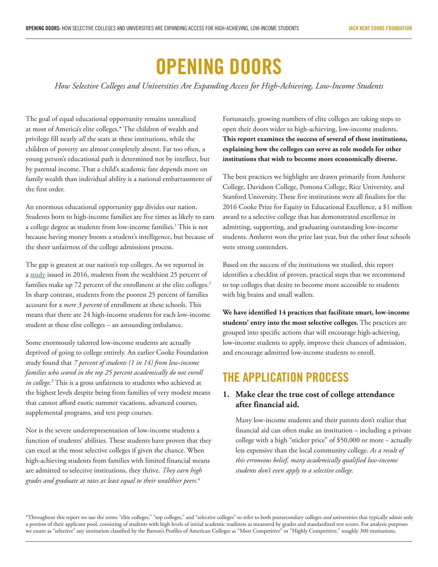# **OPENING DOORS**

*How Selective Colleges and Universities Are Expanding Access for High-Achieving, Low-Income Students*

The goal of equal educational opportunity remains unrealized at most of America's elite colleges.\* The children of wealth and privilege fill nearly *all* the seats at these institutions, while the children of poverty are almost completely absent. Far too often, a young person's educational path is determined not by intellect, but by parental income. That a child's academic fate depends more on family wealth than individual ability is a national embarrassment of the first order.

An enormous educational opportunity gap divides our nation. Students born to high-income families are five times as likely to earn a college degree as students from low-income families.1 This is not because having money boosts a student's intelligence, but because of the sheer unfairness of the college admissions process.

The gap is greatest at our nation's top colleges. As we reported in a [study](http://www.jkcf.org/assets/1/7/JKCF_True_Merit_Report.pdf) issued in 2016, students from the wealthiest 25 percent of families make up 72 percent of the enrollment at the elite colleges.<sup>2</sup> In sharp contrast, students from the poorest 25 percent of families account for a *mere 3 percent* of enrollment at these schools. This means that there are 24 high-income students for each low-income student at these elite colleges – an astounding imbalance.

Some enormously talented low-income students are actually deprived of going to college entirely. An earlier Cooke Foundation study found that *7 percent of students (1 in 14) from low-income families who scored in the top 25 percent academically do not enroll in college.*<sup>3</sup> This is a gross unfairness to students who achieved at the highest levels despite being from families of very modest means that cannot afford exotic summer vacations, advanced courses, supplemental programs, and test prep courses.

Nor is the severe underrepresentation of low-income students a function of students' abilities. These students have proven that they can excel at the most selective colleges if given the chance. When high-achieving students from families with limited financial means are admitted to selective institutions, they thrive. *They earn high grades and graduate at rates at least equal to their wealthier peers.*<sup>4</sup>

Fortunately, growing numbers of elite colleges are taking steps to open their doors wider to high-achieving, low-income students. **This report examines the success of several of these institutions, explaining how the colleges can serve as role models for other institutions that wish to become more economically diverse.**

The best practices we highlight are drawn primarily from Amherst College, Davidson College, Pomona College, Rice University, and Stanford University. These five institutions were all finalists for the 2016 Cooke Prize for Equity in Educational Excellence, a \$1 million award to a selective college that has demonstrated excellence in admitting, supporting, and graduating outstanding low-income students. Amherst won the prize last year, but the other four schools were strong contenders.

Based on the success of the institutions we studied, this report identifies a checklist of proven, practical steps that we recommend to top colleges that desire to become more accessible to students with big brains and small wallets.

**We have identified 14 practices that facilitate smart, low-income students' entry into the most selective colleges.** The practices are grouped into specific actions that will encourage high-achieving, low-income students to apply, improve their chances of admission, and encourage admitted low-income students to enroll.

### **THE APPLICATION PROCESS**

#### **1. Make clear the true cost of college attendance after financial aid.**

Many low-income students and their parents don't realize that financial aid can often make an institution – including a private college with a high "sticker price" of \$50,000 or more – actually less expensive than the local community college. *As a result of this erroneous belief, many academically qualified low-income students don't even apply to a selective college.*

\*Throughout this report we use the terms "elite colleges," "top colleges," and "selective colleges" to refer to both postsecondary colleges *and* universities that typically admit only a portion of their applicant pool, consisting of students with high levels of initial academic readiness as measured by grades and standardized test scores. For analysis purposes we count as "selective" any institution classified by the Barron's Profiles of American Colleges as "Most Competitive" or "Highly Competitive," roughly 300 institutions.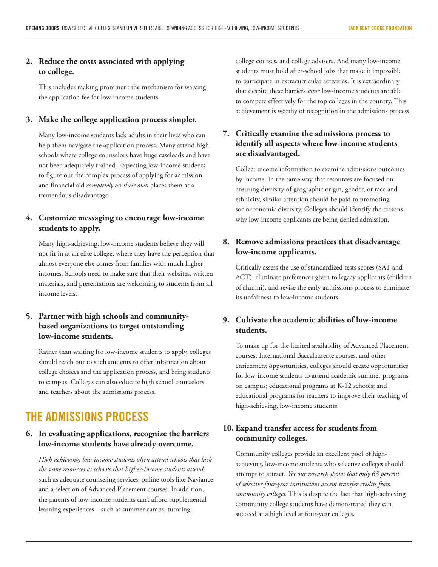#### **2. Reduce the costs associated with applying to college.**

This includes making prominent the mechanism for waiving the application fee for low-income students.

#### **3. Make the college application process simpler.**

Many low-income students lack adults in their lives who can help them navigate the application process. Many attend high schools where college counselors have huge caseloads and have not been adequately trained. Expecting low-income students to figure out the complex process of applying for admission and financial aid *completely on their own* places them at a tremendous disadvantage.

#### **4. Customize messaging to encourage low-income students to apply.**

Many high-achieving, low-income students believe they will not fit in at an elite college, where they have the perception that almost everyone else comes from families with much higher incomes. Schools need to make sure that their websites, written materials, and presentations are welcoming to students from all income levels.

#### **5. Partner with high schools and communitybased organizations to target outstanding low-income students.**

Rather than waiting for low-income students to apply, colleges should reach out to such students to offer information about college choices and the application process, and bring students to campus. Colleges can also educate high school counselors and teachers about the admissions process.

# **THE ADMISSIONS PROCESS**

#### **6. In evaluating applications, recognize the barriers low-income students have already overcome.**

*High achieving, low-income students often attend schools that lack the same resources as schools that higher-income students attend,* such as adequate counseling services, online tools like Naviance, and a selection of Advanced Placement courses. In addition, the parents of low-income students can't afford supplemental learning experiences – such as summer camps, tutoring,

college courses, and college advisers. And many low-income students must hold after-school jobs that make it impossible to participate in extracurricular activities. It is extraordinary that despite these barriers *some* low-income students are able to compete effectively for the top colleges in the country. This achievement is worthy of recognition in the admissions process.

#### **7. Critically examine the admissions process to identify all aspects where low-income students are disadvantaged.**

Collect income information to examine admissions outcomes by income. In the same way that resources are focused on ensuring diversity of geographic origin, gender, or race and ethnicity, similar attention should be paid to promoting socioeconomic diversity. Colleges should identify the reasons why low-income applicants are being denied admission.

#### **8. Remove admissions practices that disadvantage low-income applicants.**

Critically assess the use of standardized tests scores (SAT and ACT), eliminate preferences given to legacy applicants (children of alumni), and revise the early admissions process to eliminate its unfairness to low-income students.

#### **9. Cultivate the academic abilities of low-income students.**

To make up for the limited availability of Advanced Placement courses, International Baccalaureate courses, and other enrichment opportunities, colleges should create opportunities for low-income students to attend academic summer programs on campus; educational programs at K-12 schools; and educational programs for teachers to improve their teaching of high-achieving, low-income students.

#### **10. Expand transfer access for students from community colleges.**

Community colleges provide an excellent pool of highachieving, low-income students who selective colleges should attempt to attract. *Yet our research shows that only 63 percent of selective four-year institutions accept transfer credits from community colleges.* This is despite the fact that high-achieving community college students have demonstrated they can succeed at a high level at four-year colleges.